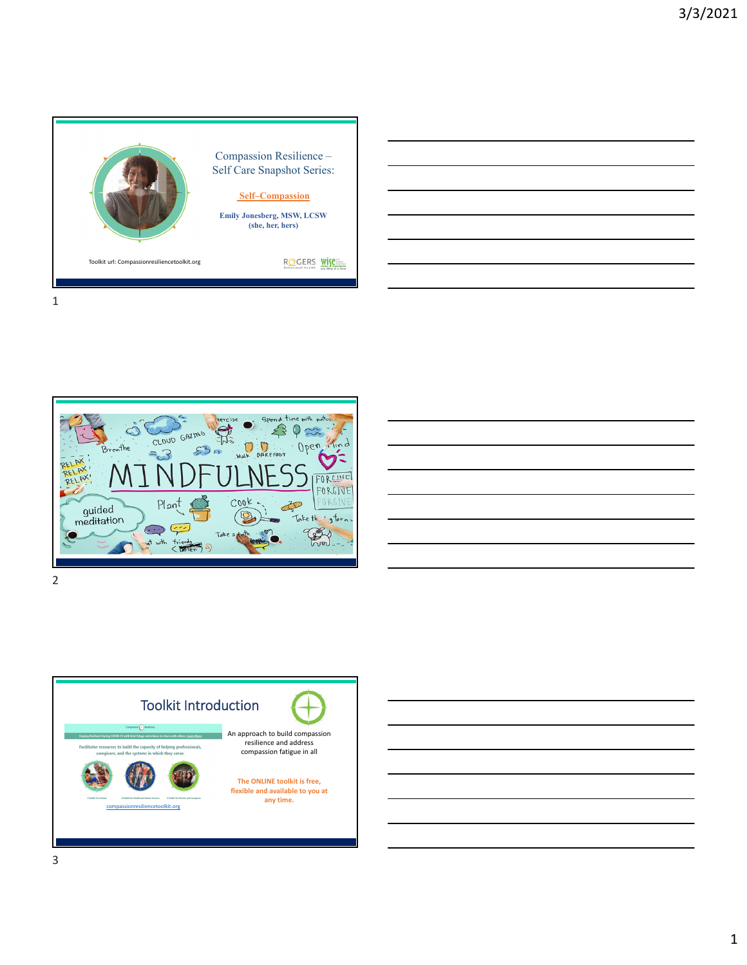



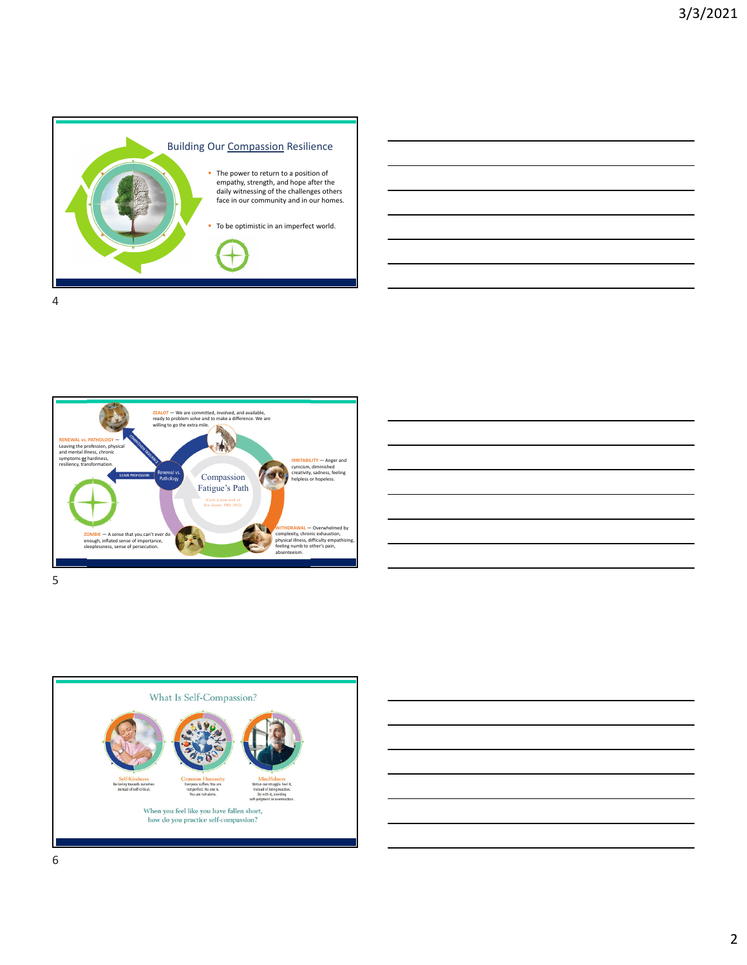





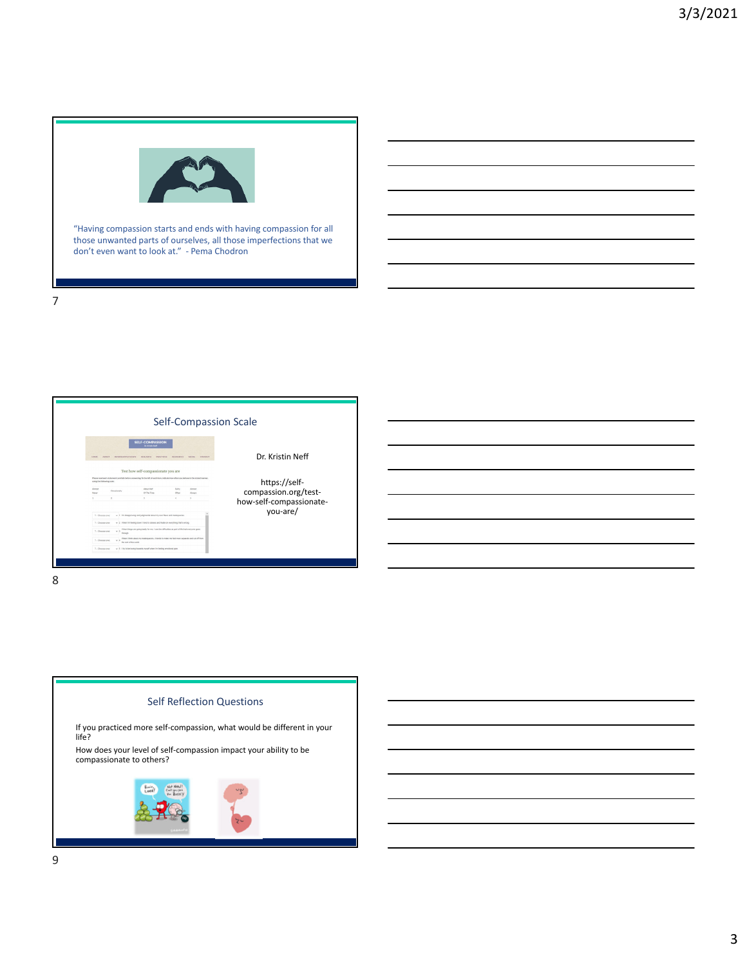

"Having compassion starts and ends with having compassion for all those unwanted parts of ourselves, all those imperfections that we don't even want to look at." ‐ Pema Chodron





7